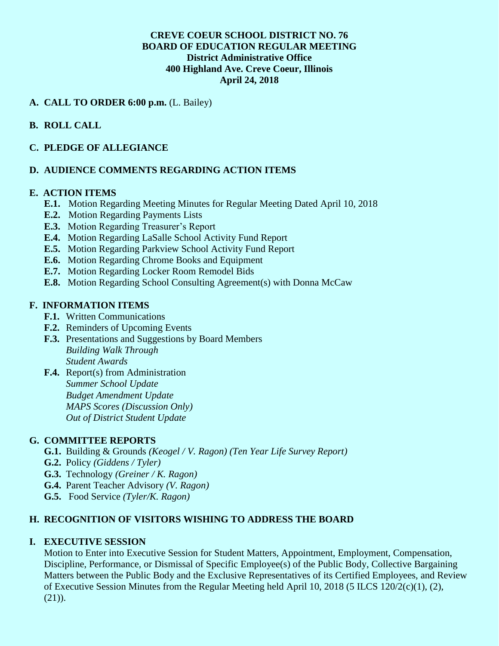### **CREVE COEUR SCHOOL DISTRICT NO. 76 BOARD OF EDUCATION REGULAR MEETING District Administrative Office 400 Highland Ave. Creve Coeur, Illinois April 24, 2018**

## **A. CALL TO ORDER 6:00 p.m.** (L. Bailey)

## **B. ROLL CALL**

### **C. PLEDGE OF ALLEGIANCE**

### **D. AUDIENCE COMMENTS REGARDING ACTION ITEMS**

#### **E. ACTION ITEMS**

- **E.1.** Motion Regarding Meeting Minutes for Regular Meeting Dated April 10, 2018
- **E.2.** Motion Regarding Payments Lists
- **E.3.** Motion Regarding Treasurer's Report
- **E.4.** Motion Regarding LaSalle School Activity Fund Report
- **E.5.** Motion Regarding Parkview School Activity Fund Report
- **E.6.** Motion Regarding Chrome Books and Equipment
- **E.7.** Motion Regarding Locker Room Remodel Bids
- **E.8.** Motion Regarding School Consulting Agreement(s) with Donna McCaw

### **F. INFORMATION ITEMS**

- **F.1.** Written Communications
- **F.2.** Reminders of Upcoming Events
- **F.3.** Presentations and Suggestions by Board Members *Building Walk Through Student Awards*
- **F.4.** Report(s) from Administration *Summer School Update Budget Amendment Update MAPS Scores (Discussion Only) Out of District Student Update*

### **G. COMMITTEE REPORTS**

- **G.1.** Building & Grounds *(Keogel / V. Ragon) (Ten Year Life Survey Report)*
- **G.2.** Policy *(Giddens / Tyler)*
- **G.3.** Technology *(Greiner / K. Ragon)*
- **G.4.** Parent Teacher Advisory *(V. Ragon)*
- **G.5.** Food Service *(Tyler/K. Ragon)*

#### **H. RECOGNITION OF VISITORS WISHING TO ADDRESS THE BOARD**

#### **I. EXECUTIVE SESSION**

Motion to Enter into Executive Session for Student Matters, Appointment, Employment, Compensation, Discipline, Performance, or Dismissal of Specific Employee(s) of the Public Body, Collective Bargaining Matters between the Public Body and the Exclusive Representatives of its Certified Employees, and Review of Executive Session Minutes from the Regular Meeting held April 10, 2018 (5 ILCS 120/2(c)(1), (2), (21)).